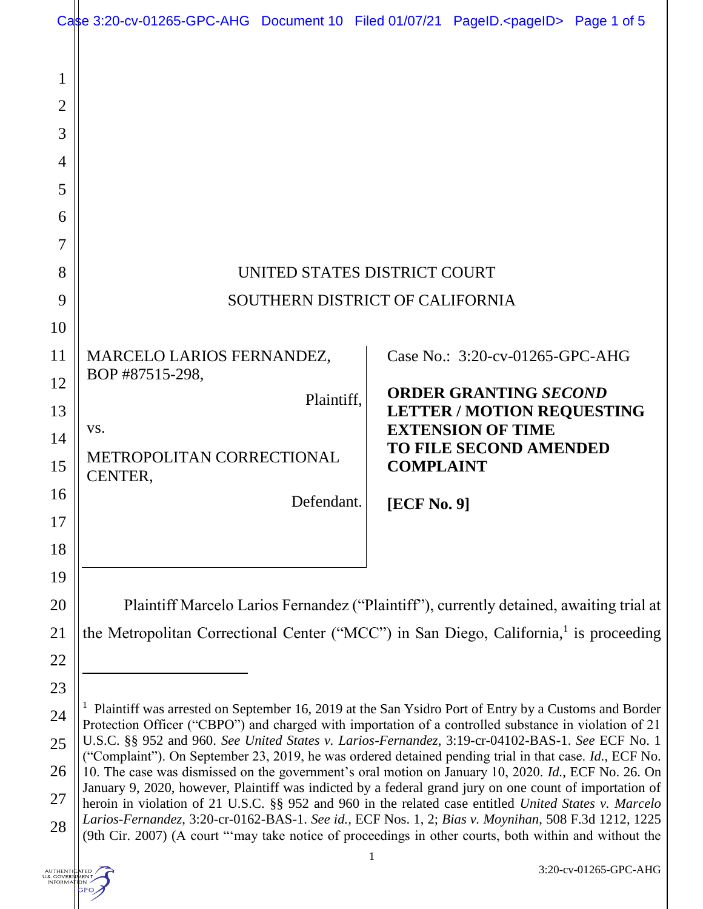|                                                 | Case 3:20-cv-01265-GPC-AHG Document 10 Filed 01/07/21 PageID. <pageid> Page 1 of 5</pageid>                                                                                                                                                                                                                                                                                                                                                                                                                                                                                                                                                                                                                                                                                                                                                                                                                                                                             |            |                                                                   |                                 |  |
|-------------------------------------------------|-------------------------------------------------------------------------------------------------------------------------------------------------------------------------------------------------------------------------------------------------------------------------------------------------------------------------------------------------------------------------------------------------------------------------------------------------------------------------------------------------------------------------------------------------------------------------------------------------------------------------------------------------------------------------------------------------------------------------------------------------------------------------------------------------------------------------------------------------------------------------------------------------------------------------------------------------------------------------|------------|-------------------------------------------------------------------|---------------------------------|--|
| 1<br>$\overline{2}$<br>3<br>$\overline{4}$<br>5 |                                                                                                                                                                                                                                                                                                                                                                                                                                                                                                                                                                                                                                                                                                                                                                                                                                                                                                                                                                         |            |                                                                   |                                 |  |
| 6                                               |                                                                                                                                                                                                                                                                                                                                                                                                                                                                                                                                                                                                                                                                                                                                                                                                                                                                                                                                                                         |            |                                                                   |                                 |  |
| 7<br>8                                          | UNITED STATES DISTRICT COURT                                                                                                                                                                                                                                                                                                                                                                                                                                                                                                                                                                                                                                                                                                                                                                                                                                                                                                                                            |            |                                                                   |                                 |  |
| 9                                               | SOUTHERN DISTRICT OF CALIFORNIA                                                                                                                                                                                                                                                                                                                                                                                                                                                                                                                                                                                                                                                                                                                                                                                                                                                                                                                                         |            |                                                                   |                                 |  |
| 10                                              |                                                                                                                                                                                                                                                                                                                                                                                                                                                                                                                                                                                                                                                                                                                                                                                                                                                                                                                                                                         |            |                                                                   |                                 |  |
| 11                                              | MARCELO LARIOS FERNANDEZ,<br>BOP #87515-298,                                                                                                                                                                                                                                                                                                                                                                                                                                                                                                                                                                                                                                                                                                                                                                                                                                                                                                                            |            |                                                                   | Case No.: 3:20-cv-01265-GPC-AHG |  |
| 12<br>13                                        | Plaintiff,                                                                                                                                                                                                                                                                                                                                                                                                                                                                                                                                                                                                                                                                                                                                                                                                                                                                                                                                                              |            | <b>ORDER GRANTING SECOND</b><br><b>LETTER / MOTION REQUESTING</b> |                                 |  |
| 14                                              | VS.                                                                                                                                                                                                                                                                                                                                                                                                                                                                                                                                                                                                                                                                                                                                                                                                                                                                                                                                                                     |            |                                                                   | <b>EXTENSION OF TIME</b>        |  |
| 15                                              | METROPOLITAN CORRECTIONAL<br>CENTER,                                                                                                                                                                                                                                                                                                                                                                                                                                                                                                                                                                                                                                                                                                                                                                                                                                                                                                                                    |            | <b>COMPLAINT</b>                                                  | <b>TO FILE SECOND AMENDED</b>   |  |
| 16                                              |                                                                                                                                                                                                                                                                                                                                                                                                                                                                                                                                                                                                                                                                                                                                                                                                                                                                                                                                                                         | Defendant. | [ECF No. 9]                                                       |                                 |  |
| 17                                              |                                                                                                                                                                                                                                                                                                                                                                                                                                                                                                                                                                                                                                                                                                                                                                                                                                                                                                                                                                         |            |                                                                   |                                 |  |
| 18                                              |                                                                                                                                                                                                                                                                                                                                                                                                                                                                                                                                                                                                                                                                                                                                                                                                                                                                                                                                                                         |            |                                                                   |                                 |  |
| 19                                              |                                                                                                                                                                                                                                                                                                                                                                                                                                                                                                                                                                                                                                                                                                                                                                                                                                                                                                                                                                         |            |                                                                   |                                 |  |
| 20                                              | Plaintiff Marcelo Larios Fernandez ("Plaintiff"), currently detained, awaiting trial at<br>the Metropolitan Correctional Center ("MCC") in San Diego, California, <sup>1</sup> is proceeding                                                                                                                                                                                                                                                                                                                                                                                                                                                                                                                                                                                                                                                                                                                                                                            |            |                                                                   |                                 |  |
| 21<br>22                                        |                                                                                                                                                                                                                                                                                                                                                                                                                                                                                                                                                                                                                                                                                                                                                                                                                                                                                                                                                                         |            |                                                                   |                                 |  |
| 23                                              |                                                                                                                                                                                                                                                                                                                                                                                                                                                                                                                                                                                                                                                                                                                                                                                                                                                                                                                                                                         |            |                                                                   |                                 |  |
| 24                                              | Plaintiff was arrested on September 16, 2019 at the San Ysidro Port of Entry by a Customs and Border<br>Protection Officer ("CBPO") and charged with importation of a controlled substance in violation of 21<br>U.S.C. §§ 952 and 960. See United States v. Larios-Fernandez, 3:19-cr-04102-BAS-1. See ECF No. 1<br>("Complaint"). On September 23, 2019, he was ordered detained pending trial in that case. Id., ECF No.<br>10. The case was dismissed on the government's oral motion on January 10, 2020. Id., ECF No. 26. On<br>January 9, 2020, however, Plaintiff was indicted by a federal grand jury on one count of importation of<br>heroin in violation of 21 U.S.C. §§ 952 and 960 in the related case entitled United States v. Marcelo<br>Larios-Fernandez, 3:20-cr-0162-BAS-1. See id., ECF Nos. 1, 2; Bias v. Moynihan, 508 F.3d 1212, 1225<br>(9th Cir. 2007) (A court "'may take notice of proceedings in other courts, both within and without the |            |                                                                   |                                 |  |
| 25                                              |                                                                                                                                                                                                                                                                                                                                                                                                                                                                                                                                                                                                                                                                                                                                                                                                                                                                                                                                                                         |            |                                                                   |                                 |  |
| 26                                              |                                                                                                                                                                                                                                                                                                                                                                                                                                                                                                                                                                                                                                                                                                                                                                                                                                                                                                                                                                         |            |                                                                   |                                 |  |
| 27                                              |                                                                                                                                                                                                                                                                                                                                                                                                                                                                                                                                                                                                                                                                                                                                                                                                                                                                                                                                                                         |            |                                                                   |                                 |  |
| 28                                              |                                                                                                                                                                                                                                                                                                                                                                                                                                                                                                                                                                                                                                                                                                                                                                                                                                                                                                                                                                         |            |                                                                   |                                 |  |

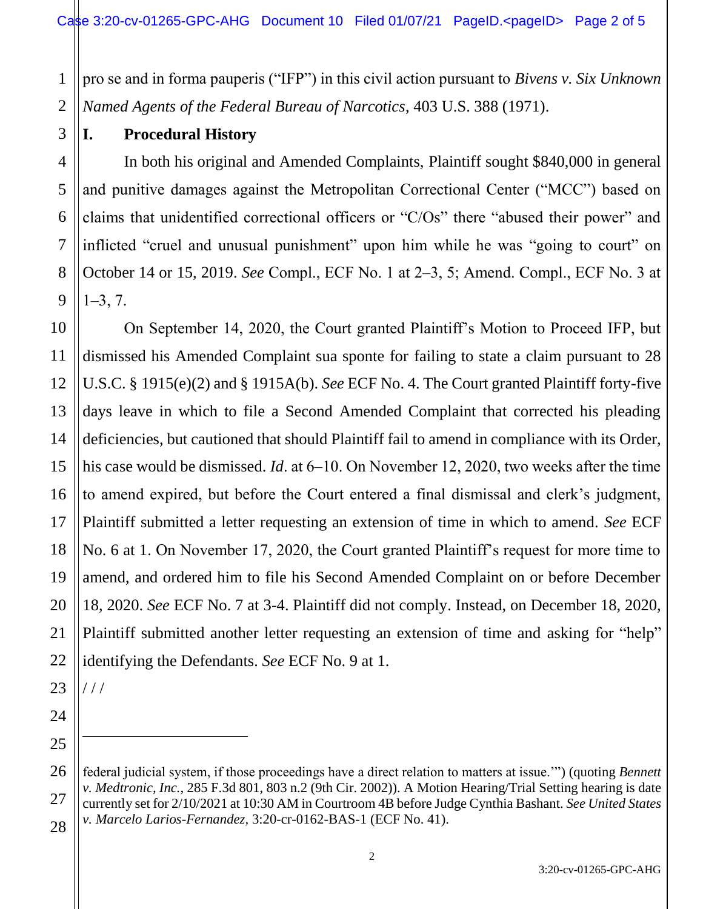1 2 pro se and in forma pauperis ("IFP") in this civil action pursuant to *Bivens v. Six Unknown Named Agents of the Federal Bureau of Narcotics*, 403 U.S. 388 (1971).

## **I. Procedural History**

In both his original and Amended Complaints, Plaintiff sought \$840,000 in general and punitive damages against the Metropolitan Correctional Center ("MCC") based on claims that unidentified correctional officers or "C/Os" there "abused their power" and inflicted "cruel and unusual punishment" upon him while he was "going to court" on October 14 or 15, 2019. *See* Compl., ECF No. 1 at 2‒3, 5; Amend. Compl., ECF No. 3 at  $1 - 3, 7.$ 

12 13 14 15 16 17 18 19 20 22 On September 14, 2020, the Court granted Plaintiff's Motion to Proceed IFP, but dismissed his Amended Complaint sua sponte for failing to state a claim pursuant to 28 U.S.C. § 1915(e)(2) and § 1915A(b). *See* ECF No. 4. The Court granted Plaintiff forty-five days leave in which to file a Second Amended Complaint that corrected his pleading deficiencies, but cautioned that should Plaintiff fail to amend in compliance with its Order, his case would be dismissed. *Id*. at 6–10. On November 12, 2020, two weeks after the time to amend expired, but before the Court entered a final dismissal and clerk's judgment, Plaintiff submitted a letter requesting an extension of time in which to amend. *See* ECF No. 6 at 1. On November 17, 2020, the Court granted Plaintiff's request for more time to amend, and ordered him to file his Second Amended Complaint on or before December 18, 2020. *See* ECF No. 7 at 3-4. Plaintiff did not comply. Instead, on December 18, 2020, Plaintiff submitted another letter requesting an extension of time and asking for "help" identifying the Defendants. *See* ECF No. 9 at 1.

23 / / /

 $\overline{a}$ 

21

24

25

<sup>26</sup> 27 28 federal judicial system, if those proceedings have a direct relation to matters at issue.'") (quoting *Bennett v. Medtronic, Inc.*, 285 F.3d 801, 803 n.2 (9th Cir. 2002)). A Motion Hearing/Trial Setting hearing is date currently set for 2/10/2021 at 10:30 AM in Courtroom 4B before Judge Cynthia Bashant. *See United States v. Marcelo Larios-Fernandez,* 3:20-cr-0162-BAS-1 (ECF No. 41).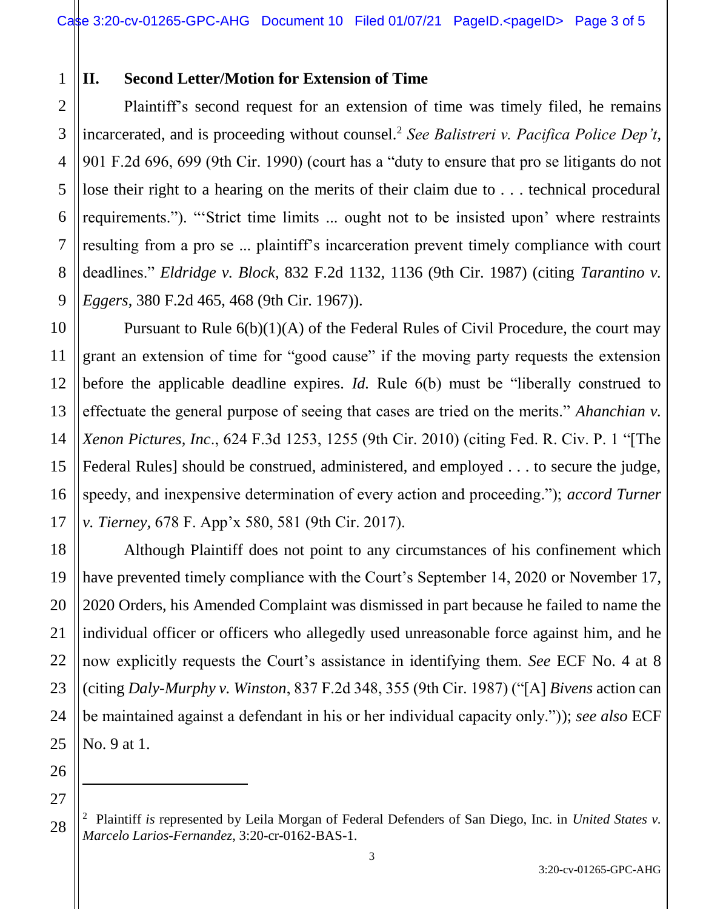## 1 **II. Second Letter/Motion for Extension of Time**

2 3 Plaintiff's second request for an extension of time was timely filed, he remains incarcerated, and is proceeding without counsel.<sup>2</sup> *See Balistreri v. Pacifica Police Dep't*, 901 F.2d 696, 699 (9th Cir. 1990) (court has a "duty to ensure that pro se litigants do not lose their right to a hearing on the merits of their claim due to . . . technical procedural requirements."). "'Strict time limits ... ought not to be insisted upon' where restraints resulting from a pro se ... plaintiff's incarceration prevent timely compliance with court deadlines." *Eldridge v. Block*, 832 F.2d 1132, 1136 (9th Cir. 1987) (citing *Tarantino v. Eggers*, 380 F.2d 465, 468 (9th Cir. 1967)).

Pursuant to Rule 6(b)(1)(A) of the Federal Rules of Civil Procedure, the court may grant an extension of time for "good cause" if the moving party requests the extension before the applicable deadline expires. *Id.* Rule 6(b) must be "liberally construed to effectuate the general purpose of seeing that cases are tried on the merits." *Ahanchian v. Xenon Pictures, Inc*., 624 F.3d 1253, 1255 (9th Cir. 2010) (citing Fed. R. Civ. P. 1 "[The Federal Rules] should be construed, administered, and employed . . . to secure the judge, speedy, and inexpensive determination of every action and proceeding."); *accord Turner v. Tierney,* 678 F. App'x 580, 581 (9th Cir. 2017).

Although Plaintiff does not point to any circumstances of his confinement which have prevented timely compliance with the Court's September 14, 2020 or November 17, 2020 Orders, his Amended Complaint was dismissed in part because he failed to name the individual officer or officers who allegedly used unreasonable force against him, and he now explicitly requests the Court's assistance in identifying them. *See* ECF No. 4 at 8 (citing *Daly-Murphy v. Winston*, 837 F.2d 348, 355 (9th Cir. 1987) ("[A] *Bivens* action can be maintained against a defendant in his or her individual capacity only.")); *see also* ECF No. 9 at 1.

 $\ddot{\phantom{a}}$ 

<sup>2</sup> Plaintiff *is* represented by Leila Morgan of Federal Defenders of San Diego, Inc. in *United States v. Marcelo Larios-Fernandez*, 3:20-cr-0162-BAS-1.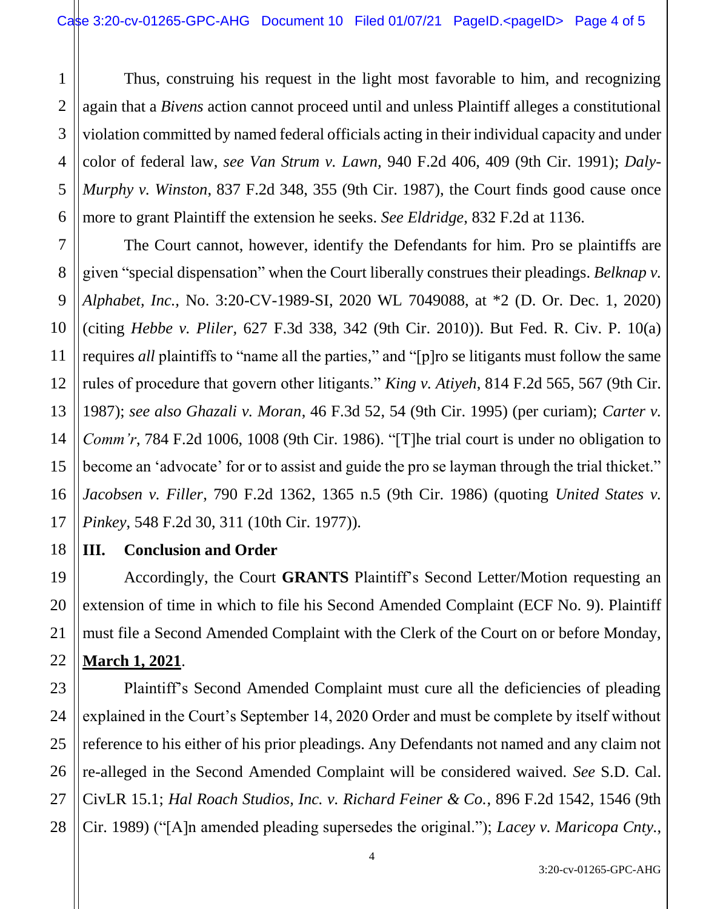1 2 Thus, construing his request in the light most favorable to him, and recognizing again that a *Bivens* action cannot proceed until and unless Plaintiff alleges a constitutional violation committed by named federal officials acting in their individual capacity and under color of federal law, *see Van Strum v. Lawn,* 940 F.2d 406, 409 (9th Cir. 1991); *Daly-Murphy v. Winston*, 837 F.2d 348, 355 (9th Cir. 1987), the Court finds good cause once more to grant Plaintiff the extension he seeks. *See Eldridge*, 832 F.2d at 1136.

The Court cannot, however, identify the Defendants for him. Pro se plaintiffs are given "special dispensation" when the Court liberally construes their pleadings. *Belknap v. Alphabet, Inc.,* No. 3:20-CV-1989-SI, 2020 WL 7049088, at \*2 (D. Or. Dec. 1, 2020) (citing *Hebbe v. Pliler,* 627 F.3d 338, 342 (9th Cir. 2010)). But Fed. R. Civ. P. 10(a) requires *all* plaintiffs to "name all the parties," and "[p]ro se litigants must follow the same rules of procedure that govern other litigants." *King v. Atiyeh*, 814 F.2d 565, 567 (9th Cir. 1987); *see also Ghazali v. Moran*, 46 F.3d 52, 54 (9th Cir. 1995) (per curiam); *Carter v. Comm'r*, 784 F.2d 1006, 1008 (9th Cir. 1986). "[T]he trial court is under no obligation to become an 'advocate' for or to assist and guide the pro se layman through the trial thicket." *Jacobsen v. Filler*, 790 F.2d 1362, 1365 n.5 (9th Cir. 1986) (quoting *United States v. Pinkey*, 548 F.2d 30, 311 (10th Cir. 1977)).

## **III. Conclusion and Order**

Accordingly, the Court **GRANTS** Plaintiff's Second Letter/Motion requesting an extension of time in which to file his Second Amended Complaint (ECF No. 9). Plaintiff must file a Second Amended Complaint with the Clerk of the Court on or before Monday, **March 1, 2021**.

Plaintiff's Second Amended Complaint must cure all the deficiencies of pleading explained in the Court's September 14, 2020 Order and must be complete by itself without reference to his either of his prior pleadings. Any Defendants not named and any claim not re-alleged in the Second Amended Complaint will be considered waived. *See* S.D. Cal. CivLR 15.1; *Hal Roach Studios, Inc. v. Richard Feiner & Co.*, 896 F.2d 1542, 1546 (9th Cir. 1989) ("[A]n amended pleading supersedes the original."); *Lacey v. Maricopa Cnty.*,